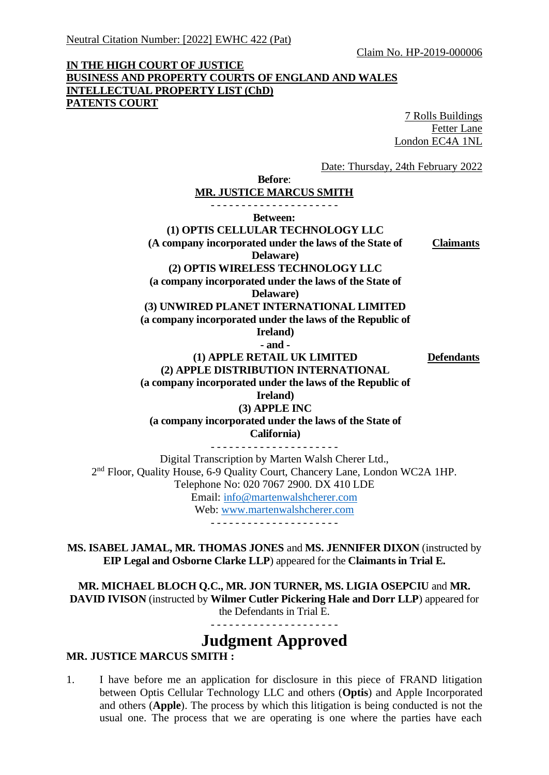Claim No. HP-2019-000006

## **IN THE HIGH COURT OF JUSTICE BUSINESS AND PROPERTY COURTS OF ENGLAND AND WALES INTELLECTUAL PROPERTY LIST (ChD) PATENTS COURT**

7 Rolls Buildings Fetter Lane London EC4A 1NL

Date: Thursday, 24th February 2022

**Before**: **MR. JUSTICE MARCUS SMITH** - - - - - - - - - - - - - - - - - - - - - **Between: (1) OPTIS CELLULAR TECHNOLOGY LLC (A company incorporated under the laws of the State of Delaware) (2) OPTIS WIRELESS TECHNOLOGY LLC (a company incorporated under the laws of the State of Delaware) (3) UNWIRED PLANET INTERNATIONAL LIMITED (a company incorporated under the laws of the Republic of Ireland) Claimants - and - (1) APPLE RETAIL UK LIMITED (2) APPLE DISTRIBUTION INTERNATIONAL (a company incorporated under the laws of the Republic of Ireland) (3) APPLE INC (a company incorporated under the laws of the State of California) Defendants** - - - - - - - - - - - - - - - - - - - - - Digital Transcription by Marten Walsh Cherer Ltd., 2<sup>nd</sup> Floor, Quality House, 6-9 Quality Court, Chancery Lane, London WC2A 1HP.

Telephone No: 020 7067 2900. DX 410 LDE

Email: [info@martenwalshcherer.com](mailto:info@martenwalshcherer.com) Web: [www.martenwalshcherer.com](http://www.martenwalshcherer.com/)

- - - - - - - - - - - - - - - - - - - - -

**MS. ISABEL JAMAL, MR. THOMAS JONES** and **MS. JENNIFER DIXON** (instructed by **EIP Legal and Osborne Clarke LLP**) appeared for the **Claimants in Trial E.**

**MR. MICHAEL BLOCH Q.C., MR. JON TURNER, MS. LIGIA OSEPCIU** and **MR. DAVID IVISON** (instructed by **Wilmer Cutler Pickering Hale and Dorr LLP**) appeared for the Defendants in Trial E.

## **Judgment Approved**

## **MR. JUSTICE MARCUS SMITH :**

1. I have before me an application for disclosure in this piece of FRAND litigation between Optis Cellular Technology LLC and others (**Optis**) and Apple Incorporated and others (**Apple**). The process by which this litigation is being conducted is not the usual one. The process that we are operating is one where the parties have each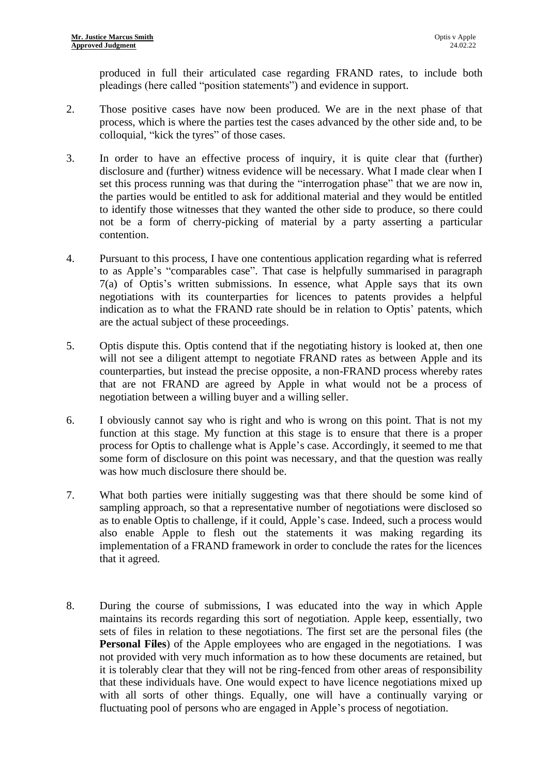produced in full their articulated case regarding FRAND rates, to include both pleadings (here called "position statements") and evidence in support.

- 2. Those positive cases have now been produced. We are in the next phase of that process, which is where the parties test the cases advanced by the other side and, to be colloquial, "kick the tyres" of those cases.
- 3. In order to have an effective process of inquiry, it is quite clear that (further) disclosure and (further) witness evidence will be necessary. What I made clear when I set this process running was that during the "interrogation phase" that we are now in, the parties would be entitled to ask for additional material and they would be entitled to identify those witnesses that they wanted the other side to produce, so there could not be a form of cherry-picking of material by a party asserting a particular contention.
- 4. Pursuant to this process, I have one contentious application regarding what is referred to as Apple's "comparables case". That case is helpfully summarised in paragraph 7(a) of Optis's written submissions. In essence, what Apple says that its own negotiations with its counterparties for licences to patents provides a helpful indication as to what the FRAND rate should be in relation to Optis' patents, which are the actual subject of these proceedings.
- 5. Optis dispute this. Optis contend that if the negotiating history is looked at, then one will not see a diligent attempt to negotiate FRAND rates as between Apple and its counterparties, but instead the precise opposite, a non-FRAND process whereby rates that are not FRAND are agreed by Apple in what would not be a process of negotiation between a willing buyer and a willing seller.
- 6. I obviously cannot say who is right and who is wrong on this point. That is not my function at this stage. My function at this stage is to ensure that there is a proper process for Optis to challenge what is Apple's case. Accordingly, it seemed to me that some form of disclosure on this point was necessary, and that the question was really was how much disclosure there should be.
- 7. What both parties were initially suggesting was that there should be some kind of sampling approach, so that a representative number of negotiations were disclosed so as to enable Optis to challenge, if it could, Apple's case. Indeed, such a process would also enable Apple to flesh out the statements it was making regarding its implementation of a FRAND framework in order to conclude the rates for the licences that it agreed.
- 8. During the course of submissions, I was educated into the way in which Apple maintains its records regarding this sort of negotiation. Apple keep, essentially, two sets of files in relation to these negotiations. The first set are the personal files (the **Personal Files**) of the Apple employees who are engaged in the negotiations. I was not provided with very much information as to how these documents are retained, but it is tolerably clear that they will not be ring-fenced from other areas of responsibility that these individuals have. One would expect to have licence negotiations mixed up with all sorts of other things. Equally, one will have a continually varying or fluctuating pool of persons who are engaged in Apple's process of negotiation.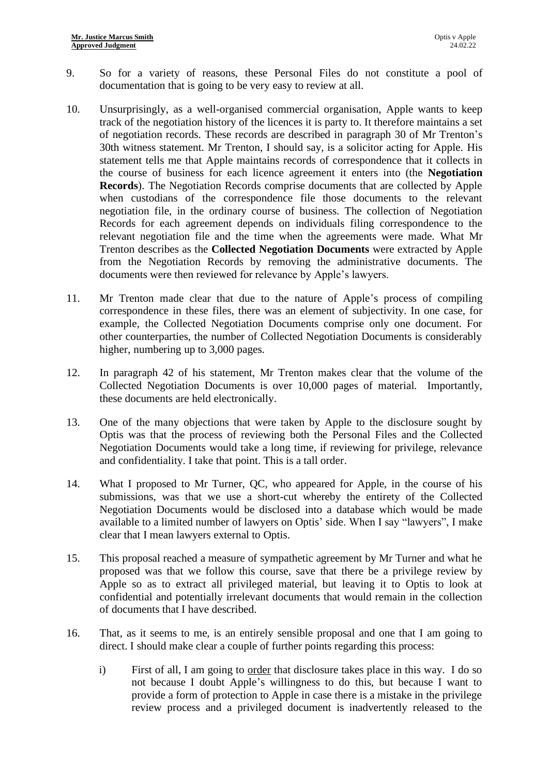- 9. So for a variety of reasons, these Personal Files do not constitute a pool of documentation that is going to be very easy to review at all.
- 10. Unsurprisingly, as a well-organised commercial organisation, Apple wants to keep track of the negotiation history of the licences it is party to. It therefore maintains a set of negotiation records. These records are described in paragraph 30 of Mr Trenton's 30th witness statement. Mr Trenton, I should say, is a solicitor acting for Apple. His statement tells me that Apple maintains records of correspondence that it collects in the course of business for each licence agreement it enters into (the **Negotiation Records**). The Negotiation Records comprise documents that are collected by Apple when custodians of the correspondence file those documents to the relevant negotiation file, in the ordinary course of business. The collection of Negotiation Records for each agreement depends on individuals filing correspondence to the relevant negotiation file and the time when the agreements were made. What Mr Trenton describes as the **Collected Negotiation Documents** were extracted by Apple from the Negotiation Records by removing the administrative documents. The documents were then reviewed for relevance by Apple's lawyers.
- 11. Mr Trenton made clear that due to the nature of Apple's process of compiling correspondence in these files, there was an element of subjectivity. In one case, for example, the Collected Negotiation Documents comprise only one document. For other counterparties, the number of Collected Negotiation Documents is considerably higher, numbering up to 3,000 pages.
- 12. In paragraph 42 of his statement, Mr Trenton makes clear that the volume of the Collected Negotiation Documents is over 10,000 pages of material. Importantly, these documents are held electronically.
- 13. One of the many objections that were taken by Apple to the disclosure sought by Optis was that the process of reviewing both the Personal Files and the Collected Negotiation Documents would take a long time, if reviewing for privilege, relevance and confidentiality. I take that point. This is a tall order.
- 14. What I proposed to Mr Turner, QC, who appeared for Apple, in the course of his submissions, was that we use a short-cut whereby the entirety of the Collected Negotiation Documents would be disclosed into a database which would be made available to a limited number of lawyers on Optis' side. When I say "lawyers", I make clear that I mean lawyers external to Optis.
- 15. This proposal reached a measure of sympathetic agreement by Mr Turner and what he proposed was that we follow this course, save that there be a privilege review by Apple so as to extract all privileged material, but leaving it to Optis to look at confidential and potentially irrelevant documents that would remain in the collection of documents that I have described.
- 16. That, as it seems to me, is an entirely sensible proposal and one that I am going to direct. I should make clear a couple of further points regarding this process:
	- i) First of all, I am going to order that disclosure takes place in this way. I do so not because I doubt Apple's willingness to do this, but because I want to provide a form of protection to Apple in case there is a mistake in the privilege review process and a privileged document is inadvertently released to the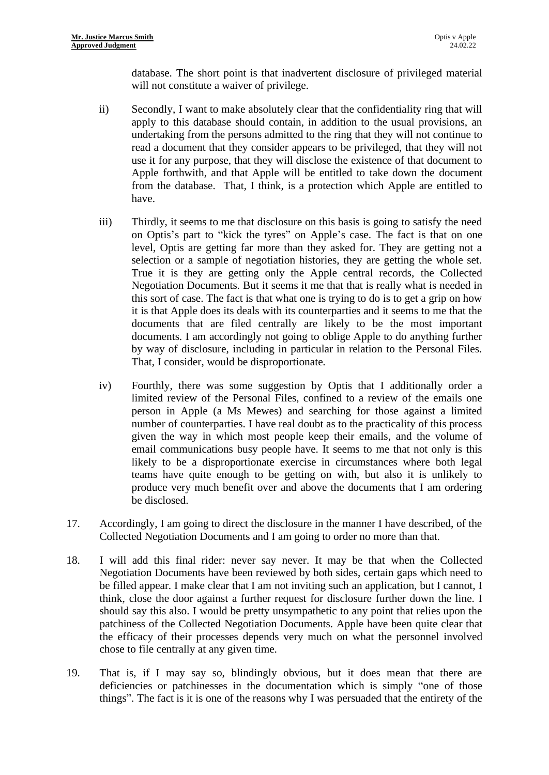database. The short point is that inadvertent disclosure of privileged material will not constitute a waiver of privilege.

- ii) Secondly, I want to make absolutely clear that the confidentiality ring that will apply to this database should contain, in addition to the usual provisions, an undertaking from the persons admitted to the ring that they will not continue to read a document that they consider appears to be privileged, that they will not use it for any purpose, that they will disclose the existence of that document to Apple forthwith, and that Apple will be entitled to take down the document from the database. That, I think, is a protection which Apple are entitled to have.
- iii) Thirdly, it seems to me that disclosure on this basis is going to satisfy the need on Optis's part to "kick the tyres" on Apple's case. The fact is that on one level, Optis are getting far more than they asked for. They are getting not a selection or a sample of negotiation histories, they are getting the whole set. True it is they are getting only the Apple central records, the Collected Negotiation Documents. But it seems it me that that is really what is needed in this sort of case. The fact is that what one is trying to do is to get a grip on how it is that Apple does its deals with its counterparties and it seems to me that the documents that are filed centrally are likely to be the most important documents. I am accordingly not going to oblige Apple to do anything further by way of disclosure, including in particular in relation to the Personal Files. That, I consider, would be disproportionate.
- iv) Fourthly, there was some suggestion by Optis that I additionally order a limited review of the Personal Files, confined to a review of the emails one person in Apple (a Ms Mewes) and searching for those against a limited number of counterparties. I have real doubt as to the practicality of this process given the way in which most people keep their emails, and the volume of email communications busy people have. It seems to me that not only is this likely to be a disproportionate exercise in circumstances where both legal teams have quite enough to be getting on with, but also it is unlikely to produce very much benefit over and above the documents that I am ordering be disclosed.
- 17. Accordingly, I am going to direct the disclosure in the manner I have described, of the Collected Negotiation Documents and I am going to order no more than that.
- 18. I will add this final rider: never say never. It may be that when the Collected Negotiation Documents have been reviewed by both sides, certain gaps which need to be filled appear. I make clear that I am not inviting such an application, but I cannot, I think, close the door against a further request for disclosure further down the line. I should say this also. I would be pretty unsympathetic to any point that relies upon the patchiness of the Collected Negotiation Documents. Apple have been quite clear that the efficacy of their processes depends very much on what the personnel involved chose to file centrally at any given time.
- 19. That is, if I may say so, blindingly obvious, but it does mean that there are deficiencies or patchinesses in the documentation which is simply "one of those things". The fact is it is one of the reasons why I was persuaded that the entirety of the